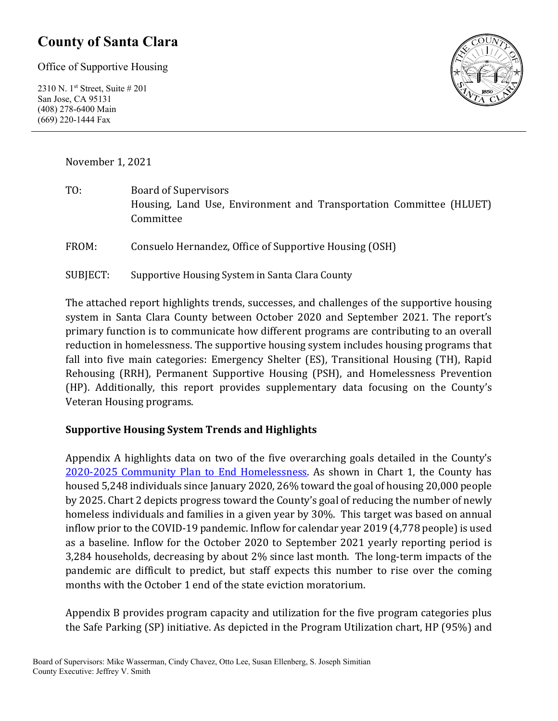# **County of Santa Clara**

Office of Supportive Housing

2310 N. 1st Street, Suite # 201 San Jose, CA 95131 (408) 278-6400 Main (669) 220-1444 Fax



November 1, 2021

TO: Board of Supervisors Housing, Land Use, Environment and Transportation Committee (HLUET) Committee

FROM: Consuelo Hernandez, Office of Supportive Housing (OSH)

SUBJECT: Supportive Housing System in Santa Clara County

The attached report highlights trends, successes, and challenges of the supportive housing system in Santa Clara County between October 2020 and September 2021. The report's primary function is to communicate how different programs are contributing to an overall reduction in homelessness. The supportive housing system includes housing programs that fall into five main categories: Emergency Shelter (ES), Transitional Housing (TH), Rapid Rehousing (RRH), Permanent Supportive Housing (PSH), and Homelessness Prevention (HP). Additionally, this report provides supplementary data focusing on the County's Veteran Housing programs.

#### **Supportive Housing System Trends and Highlights**

Appendix A highlights data on two of the five overarching goals detailed in the County's [2020-2025 Community Plan to End Homelessness.](https://www.sccgov.org/sites/yes/takeaction/Pages/2020-Santa-Clara-County-Community-Plan-to-End-Homelessness-.aspx) As shown in Chart 1, the County has housed 5,248 individuals since January 2020, 26% toward the goal of housing 20,000 people by 2025. Chart 2 depicts progress toward the County's goal of reducing the number of newly homeless individuals and families in a given year by 30%. This target was based on annual inflow prior to the COVID-19 pandemic. Inflow for calendar year 2019 (4,778 people) is used as a baseline. Inflow for the October 2020 to September 2021 yearly reporting period is 3,284 households, decreasing by about 2% since last month. The long-term impacts of the pandemic are difficult to predict, but staff expects this number to rise over the coming months with the October 1 end of the state eviction moratorium.

Appendix B provides program capacity and utilization for the five program categories plus the Safe Parking (SP) initiative. As depicted in the Program Utilization chart, HP (95%) and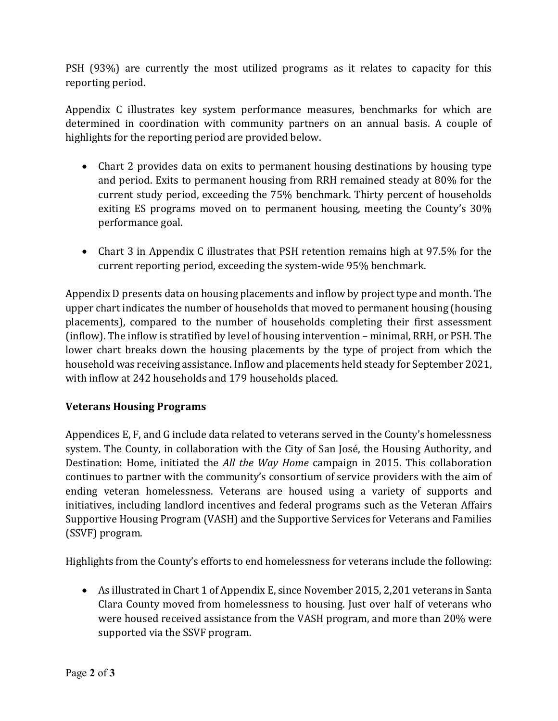PSH (93%) are currently the most utilized programs as it relates to capacity for this reporting period.

Appendix C illustrates key system performance measures, benchmarks for which are determined in coordination with community partners on an annual basis. A couple of highlights for the reporting period are provided below.

- Chart 2 provides data on exits to permanent housing destinations by housing type and period. Exits to permanent housing from RRH remained steady at 80% for the current study period, exceeding the 75% benchmark. Thirty percent of households exiting ES programs moved on to permanent housing, meeting the County's 30% performance goal.
- Chart 3 in Appendix C illustrates that PSH retention remains high at 97.5% for the current reporting period, exceeding the system-wide 95% benchmark.

Appendix D presents data on housing placements and inflow by project type and month. The upper chart indicates the number of households that moved to permanent housing (housing placements), compared to the number of households completing their first assessment (inflow). The inflow is stratified by level of housing intervention – minimal, RRH, or PSH. The lower chart breaks down the housing placements by the type of project from which the household was receiving assistance. Inflow and placements held steady for September 2021, with inflow at 242 households and 179 households placed.

#### **Veterans Housing Programs**

Appendices E, F, and G include data related to veterans served in the County's homelessness system. The County, in collaboration with the City of San José, the Housing Authority, and Destination: Home, initiated the *All the Way Home* campaign in 2015. This collaboration continues to partner with the community's consortium of service providers with the aim of ending veteran homelessness. Veterans are housed using a variety of supports and initiatives, including landlord incentives and federal programs such as the Veteran Affairs Supportive Housing Program (VASH) and the Supportive Services for Veterans and Families (SSVF) program.

Highlights from the County's efforts to end homelessness for veterans include the following:

• As illustrated in Chart 1 of Appendix E, since November 2015, 2,201 veterans in Santa Clara County moved from homelessness to housing. Just over half of veterans who were housed received assistance from the VASH program, and more than 20% were supported via the SSVF program.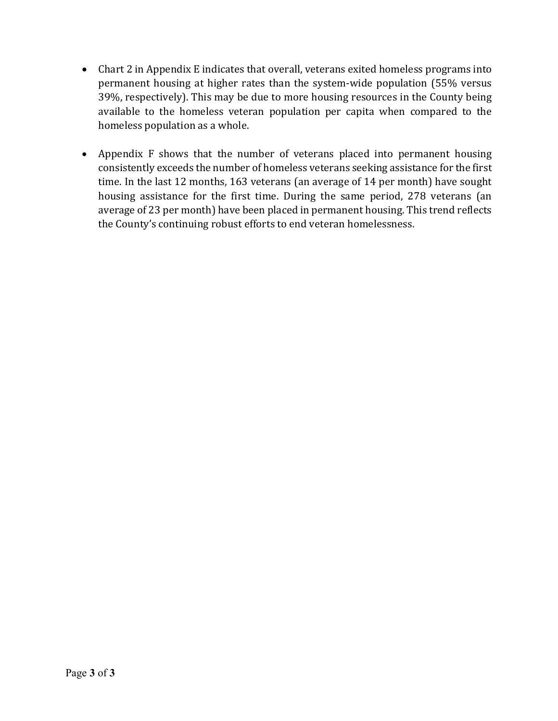- Chart 2 in Appendix E indicates that overall, veterans exited homeless programs into permanent housing at higher rates than the system-wide population (55% versus 39%, respectively). This may be due to more housing resources in the County being available to the homeless veteran population per capita when compared to the homeless population as a whole.
- Appendix F shows that the number of veterans placed into permanent housing consistently exceeds the number of homeless veterans seeking assistance for the first time. In the last 12 months, 163 veterans (an average of 14 per month) have sought housing assistance for the first time. During the same period, 278 veterans (an average of 23 per month) have been placed in permanent housing. This trend reflects the County's continuing robust efforts to end veteran homelessness.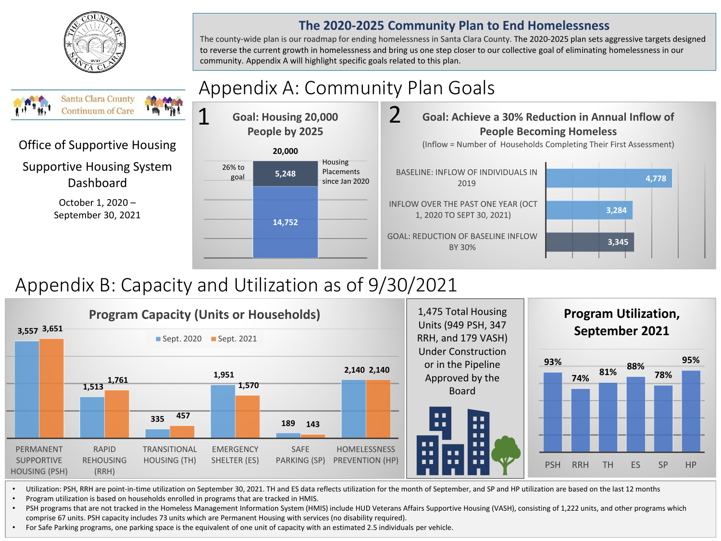

#### **The 2020-2025 Community Plan to End Homelessness**

The county-wide plan is our roadmap for ending homelessness in Santa Clara County. The 2020-2025 plan sets aggressive targets designed to reverse the current growth in homelessness and bring us one step closer to our collective goal of eliminating homelessness in our community. Appendix A will highlight specific goals related to this plan.

#### Appendix A: Community Plan Goals **Santa Clara County Continuum of Care** 1 2 **Goal: Housing 20,000 People by 2025** Office of Supportive Housing **20,000** Housing Supportive Housing System 26% to Placements **5,248** goal Dashboard since Jan 2020 October 1, 2020 – September 30, 2021 **14,752**



# Appendix B: Capacity and Utilization as of 9/30/2021



• Utilization: PSH, RRH are point-in-time utilization on September 30, 2021. TH and ES data reflects utilization for the month of September, and SP and HP utilization are based on the last 12 months

• Program utilization is based on households enrolled in programs that are tracked in HMIS.

• PSH programs that are not tracked in the Homeless Management Information System (HMIS) include HUD Veterans Affairs Supportive Housing (VASH), consisting of 1,222 units, and other programs which comprise 67 units. PSH capacity includes 73 units which are Permanent Housing with services (no disability required).

• For Safe Parking programs, one parking space is the equivalent of one unit of capacity with an estimated 2.5 individuals per vehicle.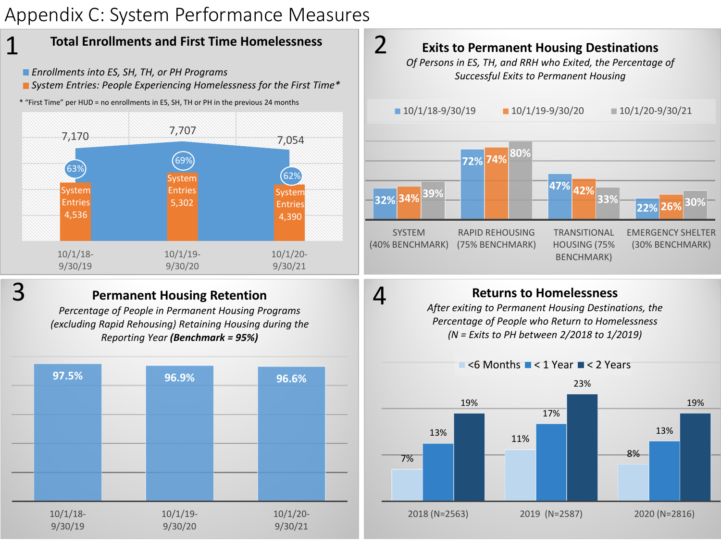# Appendix C: System Performance Measures



- *Enrollments into ES, SH, TH, or PH Programs*
- *System Entries: People Experiencing Homelessness for the First Time\**
- \* "First Time" per HUD = no enrollments in ES, SH, TH or PH in the previous 24 months



1

### **Permanent Housing Retention**

*Percentage of People in Permanent Housing Programs (excluding Rapid Rehousing) Retaining Housing during the Reporting Year (Benchmark = 95%)*





### **Returns to Homelessness**

4

*After exiting to Permanent Housing Destinations, the Percentage of People who Return to Homelessness (N = Exits to PH between 2/2018 to 1/2019)*

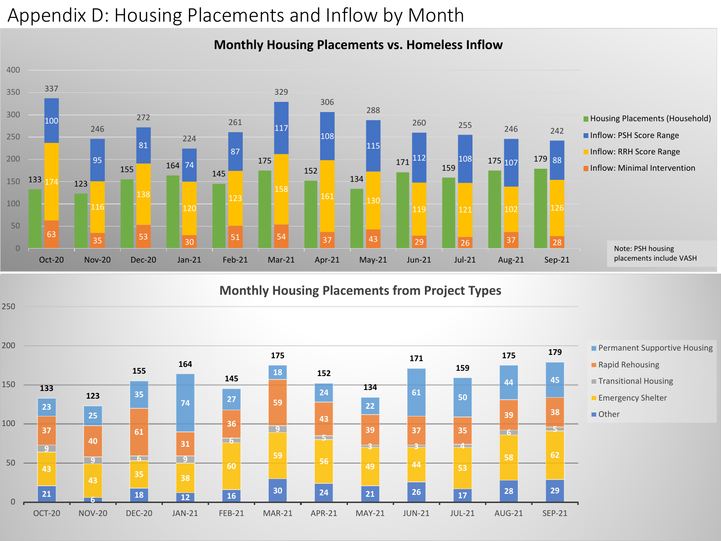# Appendix D: Housing Placements and Inflow by Month

### **Monthly Housing Placements vs. Homeless Inflow**



#### **Monthly Housing Placements from Project Types**

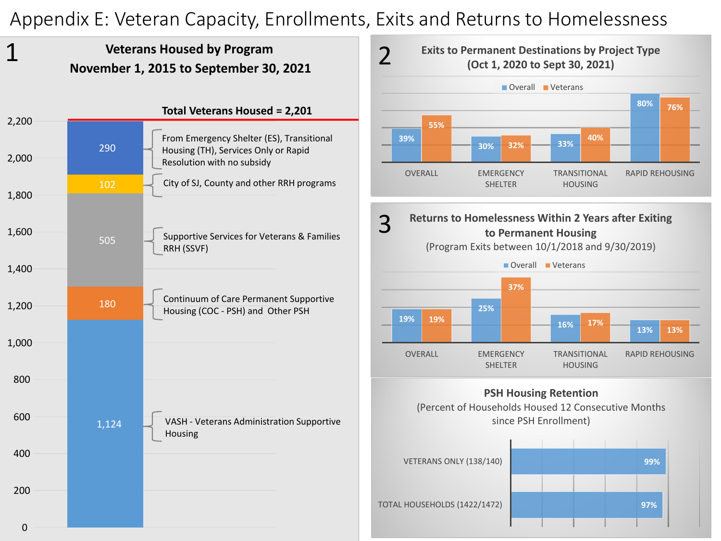# Appendix E: Veteran Capacity, Enrollments, Exits and Returns to Homelessness

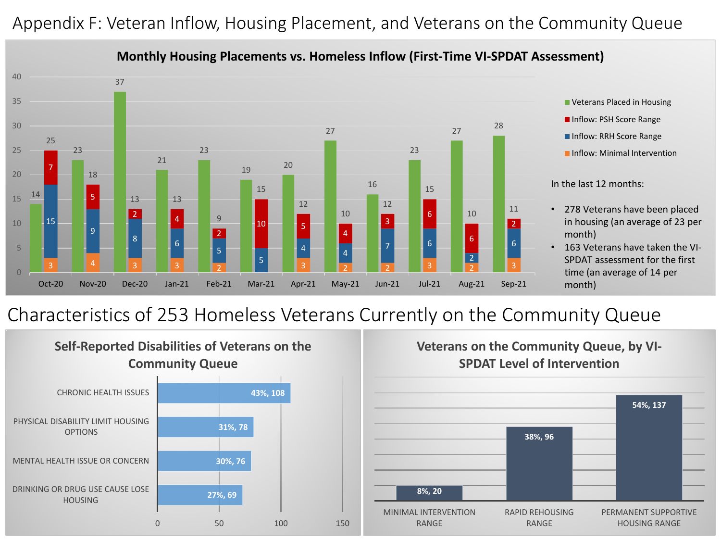# Appendix F: Veteran Inflow, Housing Placement, and Veterans on the Community Queue



#### **Monthly Housing Placements vs. Homeless Inflow (First-Time VI-SPDAT Assessment)**

# Characteristics of 253 Homeless Veterans Currently on the Community Queue